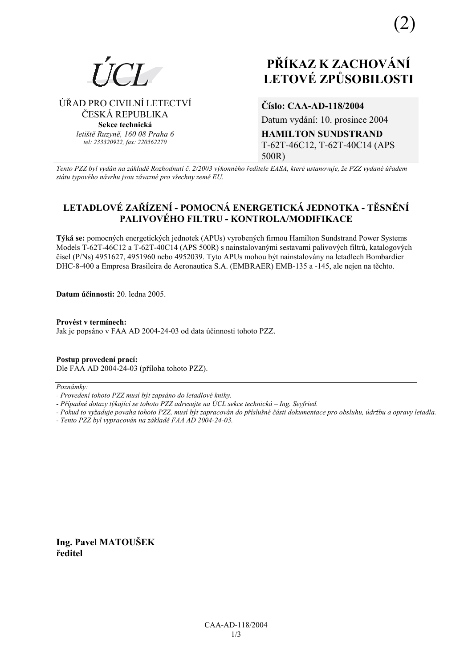ÚŘAD PRO CIVILNÍ LETECTVÍ

ČESKÁ REPUBLIKA

Sekce technická letiště Ruzvně, 160 08 Praha 6

tel: 233320922, fax: 220562270

# PŘÍKAZ K ZACHOVÁNÍ **LETOVÉ ZPŮSOBILOSTI**

Číslo: CAA-AD-118/2004

Datum vydání: 10. prosince 2004 **HAMILTON SUNDSTRAND** T-62T-46C12, T-62T-40C14 (APS  $500R$ 

Tento PZZ byl vydán na základě Rozhodnutí č. 2/2003 výkonného ředitele EASA, které ustanovuje, že PZZ vydané úřadem státu typového návrhu jsou závazné pro všechny země EU.

# LETADLOVÉ ZAŘÍZENÍ - POMOCNÁ ENERGETICKÁ JEDNOTKA - TĚSNĚNÍ PALIVOVÉHO FILTRU - KONTROLA/MODIFIKACE

Týká se: pomocných energetických jednotek (APUs) vyrobených firmou Hamilton Sundstrand Power Systems Models T-62T-46C12 a T-62T-40C14 (APS 500R) s nainstalovanými sestavami palivových filtrů, katalogových čísel (P/Ns) 4951627, 4951960 nebo 4952039. Tyto APUs mohou být nainstalovány na letadlech Bombardier DHC-8-400 a Empresa Brasileira de Aeronautica S.A. (EMBRAER) EMB-135 a -145, ale nejen na téchto.

Datum účinnosti: 20 ledna 2005

Provést v termínech: Jak je popsáno v FAA AD 2004-24-03 od data účinnosti tohoto PZZ.

Postup provedení prací: Dle FAA AD 2004-24-03 (příloha tohoto PZZ).

Poznámky:

- Případné dotazy týkající se tohoto PZZ adresujte na ÚCL sekce technická Ing. Seyfried.
- Pokud to vyžaduje povaha tohoto PZZ, musí být zapracován do příslušné části dokumentace pro obsluhu, údržbu a opravy letadla.
- Tento PZZ byl vypracován na základě FAA AD 2004-24-03.

Ing. Pavel MATOUŠEK ředitel

<sup>-</sup> Provedení tohoto PZZ musí být zapsáno do letadlové knihy.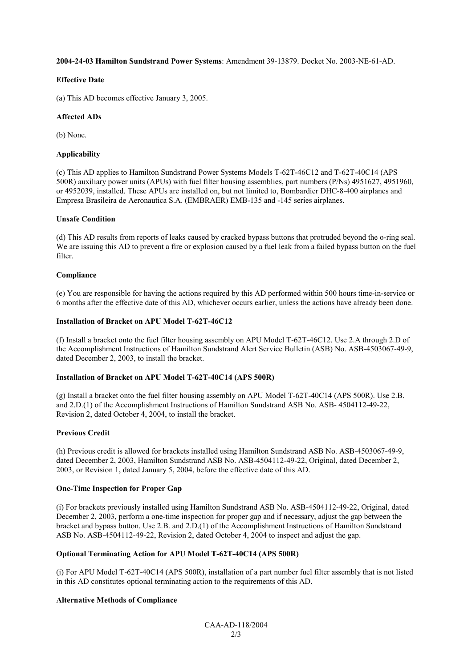#### **2004-24-03 Hamilton Sundstrand Power Systems**: Amendment 39-13879. Docket No. 2003-NE-61-AD.

#### **Effective Date**

(a) This AD becomes effective January 3, 2005.

#### **Affected ADs**

(b) None.

#### **Applicability**

(c) This AD applies to Hamilton Sundstrand Power Systems Models T-62T-46C12 and T-62T-40C14 (APS 500R) auxiliary power units (APUs) with fuel filter housing assemblies, part numbers (P/Ns) 4951627, 4951960, or 4952039, installed. These APUs are installed on, but not limited to, Bombardier DHC-8-400 airplanes and Empresa Brasileira de Aeronautica S.A. (EMBRAER) EMB-135 and -145 series airplanes.

#### **Unsafe Condition**

(d) This AD results from reports of leaks caused by cracked bypass buttons that protruded beyond the o-ring seal. We are issuing this AD to prevent a fire or explosion caused by a fuel leak from a failed bypass button on the fuel filter.

#### **Compliance**

(e) You are responsible for having the actions required by this AD performed within 500 hours time-in-service or 6 months after the effective date of this AD, whichever occurs earlier, unless the actions have already been done.

#### **Installation of Bracket on APU Model T-62T-46C12**

(f) Install a bracket onto the fuel filter housing assembly on APU Model T-62T-46C12. Use 2.A through 2.D of the Accomplishment Instructions of Hamilton Sundstrand Alert Service Bulletin (ASB) No. ASB-4503067-49-9, dated December 2, 2003, to install the bracket.

#### **Installation of Bracket on APU Model T-62T-40C14 (APS 500R)**

(g) Install a bracket onto the fuel filter housing assembly on APU Model T-62T-40C14 (APS 500R). Use 2.B. and 2.D.(1) of the Accomplishment Instructions of Hamilton Sundstrand ASB No. ASB- 4504112-49-22, Revision 2, dated October 4, 2004, to install the bracket.

# **Previous Credit**

(h) Previous credit is allowed for brackets installed using Hamilton Sundstrand ASB No. ASB-4503067-49-9, dated December 2, 2003, Hamilton Sundstrand ASB No. ASB-4504112-49-22, Original, dated December 2, 2003, or Revision 1, dated January 5, 2004, before the effective date of this AD.

#### **One-Time Inspection for Proper Gap**

(i) For brackets previously installed using Hamilton Sundstrand ASB No. ASB-4504112-49-22, Original, dated December 2, 2003, perform a one-time inspection for proper gap and if necessary, adjust the gap between the bracket and bypass button. Use 2.B. and 2.D.(1) of the Accomplishment Instructions of Hamilton Sundstrand ASB No. ASB-4504112-49-22, Revision 2, dated October 4, 2004 to inspect and adjust the gap.

# **Optional Terminating Action for APU Model T-62T-40C14 (APS 500R)**

(j) For APU Model T-62T-40C14 (APS 500R), installation of a part number fuel filter assembly that is not listed in this AD constitutes optional terminating action to the requirements of this AD.

# **Alternative Methods of Compliance**